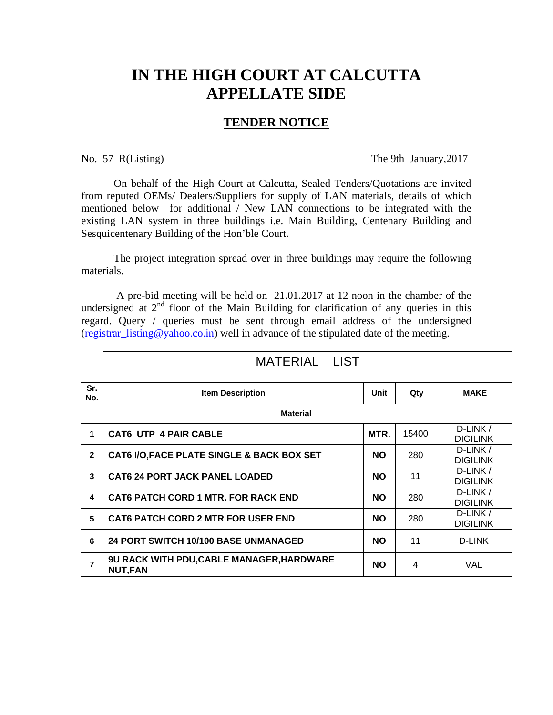## **IN THE HIGH COURT AT CALCUTTA APPELLATE SIDE**

## **TENDER NOTICE**

No. 57 R(Listing) The 9th January, 2017

 On behalf of the High Court at Calcutta, Sealed Tenders/Quotations are invited from reputed OEMs/ Dealers/Suppliers for supply of LAN materials, details of which mentioned belowfor additional / New LAN connections to be integrated with the existing LAN system in three buildings i.e. Main Building, Centenary Building and Sesquicentenary Building of the Hon'ble Court.

 The project integration spread over in three buildings may require the following materials.

 A pre-bid meeting will be held on 21.01.2017 at 12 noon in the chamber of the undersigned at  $2<sup>nd</sup>$  floor of the Main Building for clarification of any queries in this regard. Query / queries must be sent through email address of the undersigned (registrar listing @yahoo.co.in) well in advance of the stipulated date of the meeting.

| <b>Item Description</b>                                            | Unit      | Qty            | <b>MAKE</b>                 |  |  |  |  |
|--------------------------------------------------------------------|-----------|----------------|-----------------------------|--|--|--|--|
| <b>Material</b>                                                    |           |                |                             |  |  |  |  |
| <b>CAT6 UTP 4 PAIR CABLE</b>                                       | MTR.      | 15400          | D-LINK /<br><b>DIGILINK</b> |  |  |  |  |
| CAT6 I/O, FACE PLATE SINGLE & BACK BOX SET                         | <b>NO</b> | 280            | D-LINK /<br><b>DIGILINK</b> |  |  |  |  |
| <b>CAT6 24 PORT JACK PANEL LOADED</b>                              | <b>NO</b> | 11             | D-LINK /<br><b>DIGILINK</b> |  |  |  |  |
| <b>CAT6 PATCH CORD 1 MTR. FOR RACK END</b>                         | <b>NO</b> | 280            | D-LINK /<br><b>DIGILINK</b> |  |  |  |  |
| <b>CAT6 PATCH CORD 2 MTR FOR USER END.</b>                         | <b>NO</b> | 280            | D-LINK /<br><b>DIGILINK</b> |  |  |  |  |
| 24 PORT SWITCH 10/100 BASE UNMANAGED                               | <b>NO</b> | 11             | D-LINK                      |  |  |  |  |
| <b>9U RACK WITH PDU,CABLE MANAGER, HARDWARE</b><br><b>NUT, FAN</b> | <b>NO</b> | $\overline{4}$ | VAL                         |  |  |  |  |
|                                                                    |           |                |                             |  |  |  |  |

## MATERIAL LIST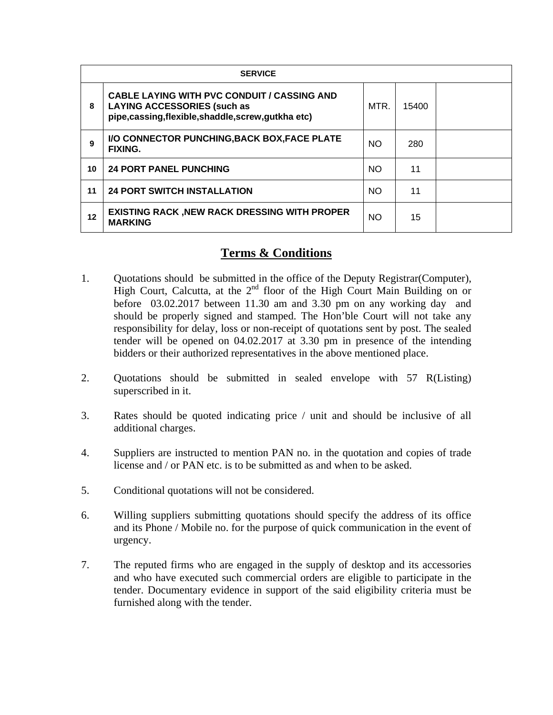|    | <b>SERVICE</b>                                                                                                                                   |           |       |  |  |  |
|----|--------------------------------------------------------------------------------------------------------------------------------------------------|-----------|-------|--|--|--|
| 8  | <b>CABLE LAYING WITH PVC CONDUIT / CASSING AND</b><br><b>LAYING ACCESSORIES (such as</b><br>pipe, cassing, flexible, shaddle, screw, gutkha etc) | MTR.      | 15400 |  |  |  |
| 9  | I/O CONNECTOR PUNCHING, BACK BOX, FACE PLATE<br><b>FIXING.</b>                                                                                   | <b>NO</b> | 280   |  |  |  |
| 10 | <b>24 PORT PANEL PUNCHING</b>                                                                                                                    | <b>NO</b> | 11    |  |  |  |
| 11 | <b>24 PORT SWITCH INSTALLATION</b>                                                                                                               | <b>NO</b> | 11    |  |  |  |
| 12 | <b>EXISTING RACK, NEW RACK DRESSING WITH PROPER</b><br><b>MARKING</b>                                                                            | <b>NO</b> | 15    |  |  |  |

## **Terms & Conditions**

- 1. Quotations should be submitted in the office of the Deputy Registrar(Computer), High Court, Calcutta, at the 2<sup>nd</sup> floor of the High Court Main Building on or before 03.02.2017 between 11.30 am and 3.30 pm on any working day and should be properly signed and stamped. The Hon'ble Court will not take any responsibility for delay, loss or non-receipt of quotations sent by post. The sealed tender will be opened on 04.02.2017 at 3.30 pm in presence of the intending bidders or their authorized representatives in the above mentioned place.
- 2. Quotations should be submitted in sealed envelope with 57 R(Listing) superscribed in it.
- 3. Rates should be quoted indicating price / unit and should be inclusive of all additional charges.
- 4. Suppliers are instructed to mention PAN no. in the quotation and copies of trade license and / or PAN etc. is to be submitted as and when to be asked.
- 5. Conditional quotations will not be considered.
- 6. Willing suppliers submitting quotations should specify the address of its office and its Phone / Mobile no. for the purpose of quick communication in the event of urgency.
- 7. The reputed firms who are engaged in the supply of desktop and its accessories and who have executed such commercial orders are eligible to participate in the tender. Documentary evidence in support of the said eligibility criteria must be furnished along with the tender.